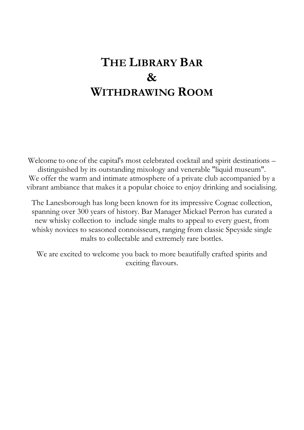# **THE LIBRARY BAR & WITHDRAWING ROOM**

Welcome to one of the capital's most celebrated cocktail and spirit destinations – distinguished by its outstanding mixology and venerable "liquid museum". We offer the warm and intimate atmosphere of a private club accompanied by a vibrant ambiance that makes it a popular choice to enjoy drinking and socialising.

The Lanesborough has long been known for its impressive Cognac collection, spanning over 300 years of history. Bar Manager Mickael Perron has curated a new whisky collection to include single malts to appeal to every guest, from whisky novices to seasoned connoisseurs, ranging from classic Speyside single malts to collectable and extremely rare bottles.

We are excited to welcome you back to more beautifully crafted spirits and exciting flavours.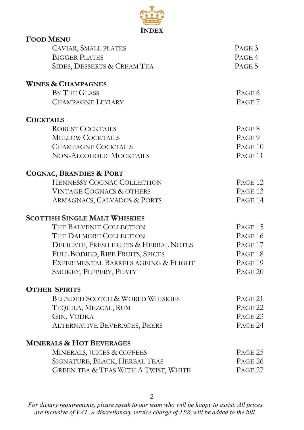

| <b>FOOD MENU</b>                           |                    |
|--------------------------------------------|--------------------|
| CAVIAR, SMALL PLATES                       | PAGE <sub>3</sub>  |
| <b>BIGGER PLATES</b>                       | PAGE 4             |
| SIDES, DESSERTS & CREAM TEA                | PAGE 5             |
| <b>WINES &amp; CHAMPAGNES</b>              |                    |
| BY THE GLASS                               | PAGE 6             |
| <b>CHAMPAGNE LIBRARY</b>                   | PAGE <sub>7</sub>  |
| <b>COCKTAILS</b>                           |                    |
| <b>ROBUST COCKTAILS</b>                    | PAGE 8             |
| <b>MELLOW COCKTAILS</b>                    | PAGE 9             |
| <b>CHAMPAGNE COCKTAILS</b>                 | PAGE 10            |
| NON-ALCOHOLIC MOCKTAILS                    | PAGE <sub>11</sub> |
| <b>COGNAC, BRANDIES &amp; PORT</b>         |                    |
| HENNESSY COGNAC COLLECTION                 | PAGE <sub>12</sub> |
| <b>VINTAGE COGNACS &amp; OTHERS</b>        | PAGE <sub>13</sub> |
| ARMAGNACS, CALVADOS & PORTS                | PAGE 14            |
| <b>SCOTTISH SINGLE MALT WHISKIES</b>       |                    |
| THE BALVENIE COLLECTION                    | PAGE <sub>15</sub> |
| THE DALMORE COLLECTION                     | PAGE 16            |
| DELICATE, FRESH FRUITS & HERBAL NOTES      | PAGE 17            |
| FULL BODIED, RIPE FRUITS, SPICES           | PAGE 18            |
| EXPERIMENTAL BARRELS AGEING & FLIGHT       | PAGE <sub>19</sub> |
| SMOKEY, PEPPERY, PEATY                     | PAGE <sub>20</sub> |
| <b>OTHER SPIRITS</b>                       |                    |
| <b>BLENDED SCOTCH &amp; WORLD WHISKIES</b> | PAGE 21            |
| TEQUILA, MEZCAL, RUM                       | PAGE <sub>22</sub> |
| <b>GIN, VODKA</b>                          | PAGE <sub>23</sub> |
| <b>ALTERNATIVE BEVERAGES, BEERS</b>        | PAGE 24            |
| <b>MINERALS &amp; HOT BEVERAGES</b>        |                    |
| MINERALS, JUICES & COFFEES                 | PAGE 25            |
| SIGNATURE, BLACK, HERBAL TEAS              | PAGE 26            |
| GREEN TEA & TEAS WITH A TWIST, WHITE       | PAGE 27            |
|                                            |                    |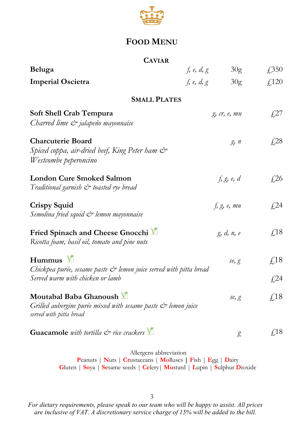

## **FOOD MENU**

### **CAVIAR**

| Beluga                                                                                                                             | f, e, d, g   | 30 <sub>g</sub>         | $\sqrt{.350}$     |
|------------------------------------------------------------------------------------------------------------------------------------|--------------|-------------------------|-------------------|
| <b>Imperial Oscietra</b>                                                                                                           | f, e, $d, g$ | 30 <sub>g</sub>         | £,120             |
| <b>SMALL PLATES</b>                                                                                                                |              |                         |                   |
| <b>Soft Shell Crab Tempura</b><br>Charred lime $\mathcal O$ jalapeño mayonnaise                                                    |              | $g$ , $cr$ , $e$ , $mu$ | $\sqrt{27}$       |
| <b>Charcuterie Board</b><br>Spiced coppa, air-dried beef, King Peter ham &<br>Westcombe peperoncino                                |              | g, n                    | $\sqrt{28}$       |
| <b>London Cure Smoked Salmon</b><br>Traditional garnish & toasted rye bread                                                        |              | f, g, e, d              | $\sqrt{26}$       |
| <b>Crispy Squid</b><br>Semolina fried squid & lemon mayonnaise                                                                     |              | f, g, e, mu             | f <sub>1</sub> 24 |
| Fried Spinach and Cheese Gnocchi<br>Ricotta foam, basil oil, tomato and pine nuts                                                  |              | g, d, n, e              | $\sqrt{18}$       |
| $H$ ummus $V$<br>Chickpea purée, sesame paste & lemon juice served with pitta bread                                                |              | se, g                   | $\sqrt{18}$       |
| Served warm with chicken or lamb                                                                                                   |              |                         | f <sub>1</sub> 24 |
| Moutabal Baba Ghanoush V<br>Grilled aubergine purée mixed with sesame paste $\mathcal{C}^*$ lemon juice<br>served with pitta bread |              | se, g                   | $\sqrt{18}$       |
| Guacamole with tortilla $\mathcal{C}^*$ rice crackers $\blacksquare$                                                               |              | g                       | $\sqrt{18}$       |

Allergens abbreviation **P**eanuts | **N**uts | **Cr**ustaceans | **Mo**lluscs **| F**ish | **E**gg | **D**airy **G**luten | **So**ya | **Se**same seeds | **Ce**lery| **Mu**stard | **L**upin | **S**ulphur **D**ioxide

3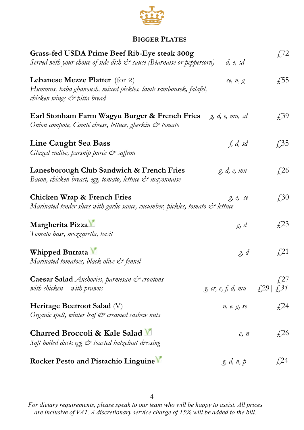

## **BIGGER PLATES**

| Grass-fed USDA Prime Beef Rib-Eye steak 300g<br>Served with your choice of side dish $\mathcal{Q}^*$ sauce (Béarnaise or peppercorn) | d, e, sd                           | £72                       |
|--------------------------------------------------------------------------------------------------------------------------------------|------------------------------------|---------------------------|
|                                                                                                                                      |                                    |                           |
| Lebanese Mezze Platter (for 2)<br>Hummus, baba ghanoush, mixed pickles, lamb sambousek, falafel,<br>chicken wings & pitta bread      | se, n, g                           | $\sqrt{55}$               |
| Earl Stonham Farm Wagyu Burger & French Fries<br>Onion compote, Comté cheese, lettuce, gherkin & tomato                              | g, d, e, mu, sd                    | $f_{1,3}^{39}$            |
| <b>Line Caught Sea Bass</b><br>Glazed endive, parsnip purée & saffron                                                                | f, d, sd                           | £35                       |
| Lanesborough Club Sandwich & French Fries<br>Bacon, chicken breast, egg, tomato, lettuce & mayonnaise                                | g, d, e, mu                        | $\sqrt{26}$               |
| Chicken Wrap & French Fries<br>Marinated tender slices with garlic sauce, cucumber, pickles, tomato & lettuce                        | g, e, se                           | $\textcolor{blue}{f_2}30$ |
| Margherita Pizza V<br>Tomato base, mozzarella, basil                                                                                 | g, d                               | $\sqrt{23}$               |
| Whipped Burrata M<br>Marinated tomatoes, black olive & fennel                                                                        | g, d                               | $\sqrt{21}$               |
| Caesar Salad Anchovies, parmesan & croutons<br>with chicken $\vert$ with prawns                                                      | g, cr, e, f, d, mu $\{29   \n\{31$ | $\sqrt{27}$               |
| Heritage Beetroot Salad (V)<br>Organic spelt, winter leaf & creamed cashew nuts                                                      | n, e, g, se                        | £24                       |
| Charred Broccoli & Kale Salad M<br>Soft boiled duck egg & toasted halzelnut dressing                                                 | e, n                               | $\sqrt{26}$               |
| Rocket Pesto and Pistachio Linguine                                                                                                  | g, d, n, p                         | £24                       |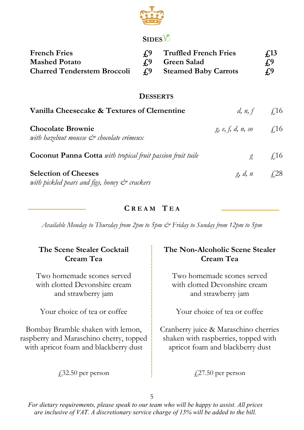

## **SIDES**

| <b>French Fries</b><br><b>Mashed Potato</b><br><b>Charred Tenderstem Broccoli</b>          | f <sub>3</sub><br>f <sub>0</sub><br>f <sub>0</sub> | <b>Truffled French Fries</b><br><b>Green Salad</b><br><b>Steamed Baby Carrots</b> |                             | $\sqrt{13}$<br>f <sub>0</sub><br>$f_{\cdot}$              |
|--------------------------------------------------------------------------------------------|----------------------------------------------------|-----------------------------------------------------------------------------------|-----------------------------|-----------------------------------------------------------|
|                                                                                            | <b>DESSERTS</b>                                    |                                                                                   |                             |                                                           |
| Vanilla Cheesecake & Textures of Clementine                                                |                                                    |                                                                                   |                             | <i>d</i> , <i>n</i> , <i>f</i> $\qquad \quad \text{f,16}$ |
| <b>Chocolate Brownie</b><br>with hazelnut mousse $\mathcal{C}^*$ chocolate crémeux         |                                                    |                                                                                   | g, e, f, d, n, so           | $\sqrt{16}$                                               |
| <b>Coconut Panna Cotta</b> with tropical fruit passion fruit tuile                         |                                                    |                                                                                   | $\mathcal{L}_{\mathcal{A}}$ | $\angle 16$                                               |
| <b>Selection of Cheeses</b><br>with pickled pears and figs, honey $\mathcal{C}^*$ crackers |                                                    |                                                                                   | g, d, n                     | $\sqrt{28}$                                               |

## **C R E A M T E A**

*Available Monday to Thursday from 2pm to 5pm & Friday to Sunday from 12pm to 5pm*

| The Scene Stealer Cocktail              | The Non-Alcoholic Scene Stealer       |
|-----------------------------------------|---------------------------------------|
| Cream Tea                               | Cream Tea                             |
| Two homemade scones served              | Two homemade scones served            |
| with clotted Devonshire cream           | with clotted Devonshire cream         |
| and strawberry jam                      | and strawberry jam                    |
| Your choice of tea or coffee            | Your choice of tea or coffee          |
| Bombay Bramble shaken with lemon,       | Cranberry juice & Maraschino cherries |
| raspberry and Maraschino cherry, topped | shaken with raspberries, topped with  |
| with apricot foam and blackberry dust   | apricot foam and blackberry dust      |
| $\sqrt{32.50}$ per person               | $\sqrt{27.50}$ per person             |

5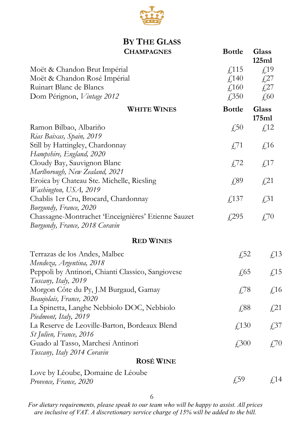

### **BY THE GLASS CHAMPAGNES Bottle Glass**

|                                                                                         |                           | 125ml                    |
|-----------------------------------------------------------------------------------------|---------------------------|--------------------------|
| Moët & Chandon Brut Impérial                                                            | $\sqrt{115}$              | f <sub>19</sub>          |
| Moët & Chandon Rosé Impérial                                                            | $\text{\textsterling}140$ | $\sqrt{27}$              |
| Ruinart Blanc de Blancs                                                                 | f,160                     | $\sqrt{27}$              |
| Dom Pérignon, Vintage 2012                                                              | £,350                     | £60                      |
| <b>WHITE WINES</b>                                                                      | <b>Bottle</b>             | <b>Glass</b><br>175ml    |
| Ramon Bilbao, Albariño                                                                  | £50                       | f <sub>12</sub>          |
| Rias Baixas, Spain, 2019                                                                |                           |                          |
| Still by Hattingley, Chardonnay<br>Hampshire, England, 2020                             | $\sqrt{571}$              | $\text{\textsterling}16$ |
| Cloudy Bay, Sauvignon Blanc                                                             | £72                       | $\textsterling$ 17       |
| Marlborough, New Zealand, 2021<br>Eroica by Chateau Ste. Michelle, Riesling             | £89                       | $\sqrt{21}$              |
| Washington, USA, 2019<br>Chablis 1er Cru, Brocard, Chardonnay<br>Burgundy, France, 2020 | £,137                     | $\sqrt{.}31$             |
| Chassagne-Montrachet 'Enceignières' Etienne Sauzet<br>Burgundy, France, 2018 Coravin    | £295                      | £70                      |
| <b>RED WINES</b>                                                                        |                           |                          |
| Terrazas de los Andes, Malbec<br>Mendoza, Argentina, 2018                               | £52                       | £13                      |
| Peppoli by Antinori, Chianti Classico, Sangiovese<br>Tuscany, Italy, 2019               | $\sqrt{65}$               | £15                      |
| Morgon Côte du Py, J.M Burgaud, Gamay<br>Beaujolais, France, 2020                       | $\sqrt{78}$               | £16                      |
| La Spinetta, Langhe Nebbiolo DOC, Nebbiolo<br>Piedmont, Italy, 2019                     | £88                       | $\sqrt{21}$              |
| La Reserve de Leoville-Barton, Bordeaux Blend<br>St Julien, France, 2016                | £,130                     | £37                      |
| Guado al Tasso, Marchesi Antinori<br>Tuscany, Italy 2014 Coravin                        | £300                      | $\sqrt{.70}$             |
| <b>ROSÉ WINE</b>                                                                        |                           |                          |
| Love by Léoube, Domaine de Léoube<br>Provence, France, 2020                             | $f{,}59$                  | £14                      |
|                                                                                         |                           |                          |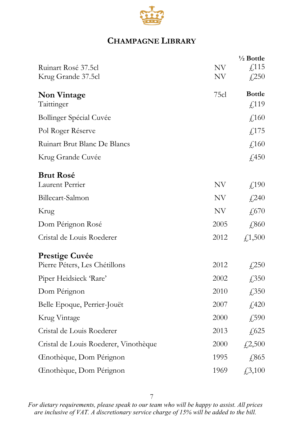

## **CHAMPAGNE LIBRARY**

|                                       |                          | $\frac{1}{2}$ Bottle |
|---------------------------------------|--------------------------|----------------------|
| Ruinart Rosé 37.5cl                   | NV                       | £,115                |
| Krug Grande 37.5cl                    | NV                       | f(250)               |
| <b>Non Vintage</b>                    | 75cl                     | <b>Bottle</b>        |
| Taittinger                            |                          | £,119                |
| Bollinger Spécial Cuvée               |                          | £,160                |
| Pol Roger Réserve                     |                          | f(175)               |
| Ruinart Brut Blanc De Blancs          |                          | £,160                |
| Krug Grande Cuvée                     |                          | £,450                |
| <b>Brut Rosé</b>                      |                          |                      |
| Laurent Perrier                       | NV                       | f(190)               |
| Billecart-Salmon                      | NV                       | £240                 |
| Krug                                  | $\ensuremath{\text{NV}}$ | £670                 |
| Dom Pérignon Rosé                     | 2005                     | £,860                |
| Cristal de Louis Roederer             | 2012                     | £,1,500              |
| <b>Prestige Cuvée</b>                 |                          |                      |
| Pierre Péters, Les Chétillons         | 2012                     | £250                 |
| Piper Heidsieck 'Rare'                | 2002                     | £350                 |
| Dom Pérignon                          | 2010                     | £,350                |
| Belle Epoque, Perrier-Jouët           | 2007                     | £420                 |
| Krug Vintage                          | 2000                     | £,590                |
| Cristal de Louis Roederer             | 2013                     | £,625                |
| Cristal de Louis Roederer, Vinothèque | 2000                     | £2,500               |
| Cenothèque, Dom Pérignon              | 1995                     | £865                 |
| Cenothèque, Dom Pérignon              | 1969                     | $\sqrt{3,100}$       |

7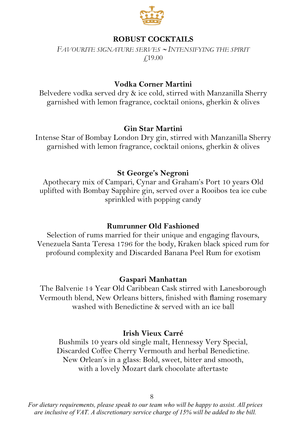

## **ROBUST COCKTAILS**

*FAVOURITE SIGNATURE SERVES* <sup>∼</sup> *INTENSIFYING THE SPIRIT*  £19.00

### **Vodka Corner Martini**

Belvedere vodka served dry & ice cold, stirred with Manzanilla Sherry garnished with lemon fragrance, cocktail onions, gherkin & olives

#### **Gin Star Martini**

Intense Star of Bombay London Dry gin, stirred with Manzanilla Sherry garnished with lemon fragrance, cocktail onions, gherkin & olives

#### **St George's Negroni**

Apothecary mix of Campari, Cynar and Graham's Port 10 years Old uplifted with Bombay Sapphire gin, served over a Rooibos tea ice cube sprinkled with popping candy

#### **Rumrunner Old Fashioned**

Selection of rums married for their unique and engaging flavours, Venezuela Santa Teresa 1796 for the body, Kraken black spiced rum for profound complexity and Discarded Banana Peel Rum for exotism

#### **Gaspari Manhattan**

The Balvenie 14 Year Old Caribbean Cask stirred with Lanesborough Vermouth blend, New Orleans bitters, finished with flaming rosemary washed with Benedictine & served with an ice ball

#### **Irish Vieux Carré**

Bushmils 10 years old single malt, Hennessy Very Special, Discarded Coffee Cherry Vermouth and herbal Benedictine. New Orlean's in a glass: Bold, sweet, bitter and smooth, with a lovely Mozart dark chocolate aftertaste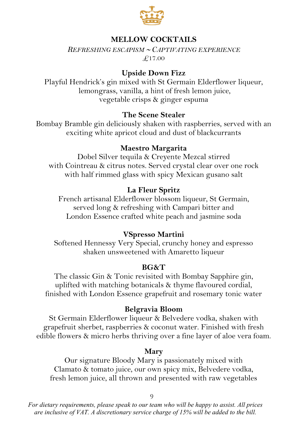

## **MELLOW COCKTAILS**

*REFRESHING ESCAPISM* <sup>∼</sup> *CAPTIVATING EXPERIENCE*  $\overline{F}$ 17.00

#### **Upside Down Fizz**

Playful Hendrick's gin mixed with St Germain Elderflower liqueur, lemongrass, vanilla, a hint of fresh lemon juice, vegetable crisps & ginger espuma

#### **The Scene Stealer**

Bombay Bramble gin deliciously shaken with raspberries, served with an exciting white apricot cloud and dust of blackcurrants

#### **Maestro Margarita**

Dobel Silver tequila & Creyente Mezcal stirred with Cointreau & citrus notes. Served crystal clear over one rock with half rimmed glass with spicy Mexican gusano salt

#### **La Fleur Spritz**

French artisanal Elderflower blossom liqueur, St Germain, served long & refreshing with Campari bitter and London Essence crafted white peach and jasmine soda

### **VSpresso Martini**

Softened Hennessy Very Special, crunchy honey and espresso shaken unsweetened with Amaretto liqueur

#### **BG&T**

The classic Gin & Tonic revisited with Bombay Sapphire gin, uplifted with matching botanicals & thyme flavoured cordial, finished with London Essence grapefruit and rosemary tonic water

#### **Belgravia Bloom**

St Germain Elderflower liqueur & Belvedere vodka, shaken with grapefruit sherbet, raspberries & coconut water. Finished with fresh edible flowers & micro herbs thriving over a fine layer of aloe vera foam.

#### **Mary**

Our signature Bloody Mary is passionately mixed with Clamato & tomato juice, our own spicy mix, Belvedere vodka, fresh lemon juice, all thrown and presented with raw vegetables

9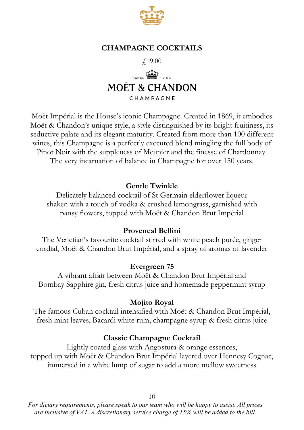

### **CHAMPAGNE COCKTAILS**

£19.00



Moët Impérial is the House's iconic Champagne. Created in 1869, it embodies Moët & Chandon's unique style, a style distinguished by its bright fruitiness, its seductive palate and its elegant maturity. Created from more than 100 different wines, this Champagne is a perfectly executed blend mingling the full body of Pinot Noir with the suppleness of Meunier and the finesse of Chardonnay. The very incarnation of balance in Champagne for over 150 years.

### **Gentle Twinkle**

Delicately balanced cocktail of St Germain elderflower liqueur shaken with a touch of vodka & crushed lemongrass, garnished with pansy flowers, topped with Moёt & Chandon Brut Impérial

#### **Provencal Bellini**

The Venetian's favourite cocktail stirred with white peach purée, ginger cordial, Moёt & Chandon Brut Impérial, and a spray of aromas of lavender

#### **Evergreen 75**

A vibrant affair between Moёt & Chandon Brut Impérial and Bombay Sapphire gin, fresh citrus juice and homemade peppermint syrup

#### **Mojito Royal**

The famous Cuban cocktail intensified with Moёt & Chandon Brut Impérial, fresh mint leaves, Bacardi white rum, champagne syrup & fresh citrus juice

#### **Classic Champagne Cocktail**

Lightly coated glass with Angostura & orange essences, topped up with Moёt & Chandon Brut Impérial layered over Hennesy Cognac, immersed in a white lump of sugar to add a more mellow sweetness

10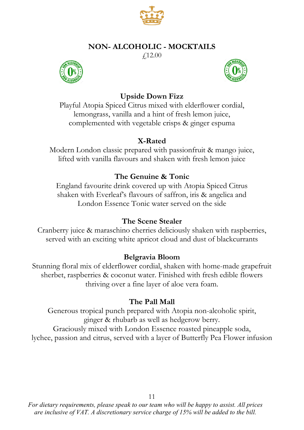

## **NON- ALCOHOLIC - MOCKTAILS**

£12.00





## **Upside Down Fizz**

Playful Atopia Spiced Citrus mixed with elderflower cordial, lemongrass, vanilla and a hint of fresh lemon juice, complemented with vegetable crisps & ginger espuma

## **X-Rated**

Modern London classic prepared with passionfruit & mango juice, lifted with vanilla flavours and shaken with fresh lemon juice

## **The Genuine & Tonic**

England favourite drink covered up with Atopia Spiced Citrus shaken with Everleaf's flavours of saffron, iris & angelica and London Essence Tonic water served on the side

### **The Scene Stealer**

Cranberry juice & maraschino cherries deliciously shaken with raspberries, served with an exciting white apricot cloud and dust of blackcurrants

## **Belgravia Bloom**

Stunning floral mix of elderflower cordial, shaken with home-made grapefruit sherbet, raspberries & coconut water. Finished with fresh edible flowers thriving over a fine layer of aloe vera foam.

### **The Pall Mall**

Generous tropical punch prepared with Atopia non-alcoholic spirit, ginger & rhubarb as well as hedgerow berry. Graciously mixed with London Essence roasted pineapple soda, lychee, passion and citrus, served with a layer of Butterfly Pea Flower infusion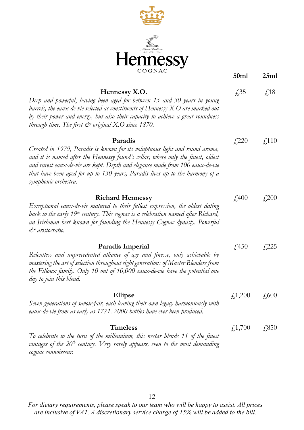

|                                                                                                                                                                                                                                                                                                                                                                      | 50 <sub>ml</sub> | 25ml         |
|----------------------------------------------------------------------------------------------------------------------------------------------------------------------------------------------------------------------------------------------------------------------------------------------------------------------------------------------------------------------|------------------|--------------|
| Hennessy X.O.<br>Deep and powerful, having been aged for between 15 and 30 years in young<br>barrels, the eaux-de-vie selected as constituents of Hennessy $X.O$ are marked out<br>by their power and energy, but also their capacity to achieve a great roundness<br>through time. The first $\mathcal O$ original X.O since 1870.                                  | f35              | $\sqrt{18}$  |
| Paradis<br>Created in 1979, Paradis is known for its voluptuous light and round aroma,<br>and it is named after the Hennessy found's cellar, where only the finest, oldest<br>and rarest eaux-de-vie are kept. Depth and elegance made from 100 eaux-de-vie<br>that have been aged for up to 130 years, Paradis lives up to the harmony of a<br>symphonic orchestra. | $f{,}220$        | $\sqrt{110}$ |
| <b>Richard Hennessy</b><br>Exceptional eaux-de-vie matured to their fullest expression, the oldest dating<br>back to the early $19th$ century. This cognac is a celebration named after Richard,<br>an Irishman best known for founding the Hennessy Cognac dynasty. Powerful<br>& aristocratic.                                                                     | $\angle 400$     | $\sqrt{200}$ |
| Paradis Imperial<br>Relentless and unprecedented alliance of age and finesse, only achievable by<br>mastering the art of selection throughout eight generations of Master Blenders from<br>the Filloux family. Only 10 out of 10,000 eaux-de-vie have the potential one<br>day to join this blend.                                                                   | f450             | $f{,}225$    |
| Ellipse<br>Seven generations of savoir-fair, each leaving their own legacy harmoniously with<br>eaux-de-vie from as early as 1771. 2000 bottles have ever been produced.                                                                                                                                                                                             | £1,200           | $\sqrt{600}$ |
| <b>Timeless</b><br>To celebrate to the turn of the millennium, this nectar blends 11 of the finest<br>vintages of the $20th$ century. Very rarely appears, even to the most demanding<br>cognac connoisseur.                                                                                                                                                         | f,1,700          | £,850        |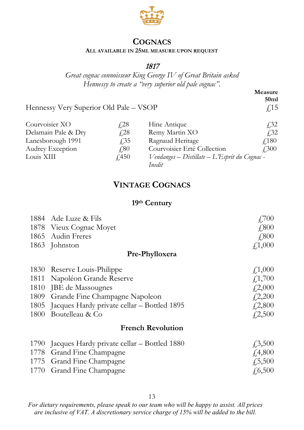

### **COGNACS**

#### **ALL AVAILABLE IN 25ML MEASURE UPON REQUEST**

## 1817

*Great cognac connoisseur King George IV of Great Britain asked Hennessy to create a "very superior old pale cognac".*

> **Measure**   $50ml$ <br> $f.15$

Hennessy Very Superior Old Pale - VSOP

| Courvoisier XO      | f.28         | Hine Antique                                  | $\sqrt{32}$  |
|---------------------|--------------|-----------------------------------------------|--------------|
| Delamain Pale & Dry | f 28         | Remy Martin XO                                | f32          |
| Lanesborough 1991   | f 35         | Ragnaud Heritage                              | <i>√</i> 180 |
| Audrey Exception    | 4.80         | Courvoisier Erté Collection                   | <i>f</i> 300 |
| Louis XIII          | $\sqrt{450}$ | Vendanges - Distillate - L'Esprit du Cognac - |              |
|                     |              | Inedit                                        |              |

## **VINTAGE COGNACS**

### **19th Century**

|                          | 1884 Ade Luze & Fils                        | $\angle 700$    |
|--------------------------|---------------------------------------------|-----------------|
|                          | 1878 Vieux Cognac Moyet                     | $\sqrt{.800}$   |
|                          | 1865 Audin Freres                           | £800            |
|                          | 1863 Johnston                               | f1,000          |
|                          | Pre-Phylloxera                              |                 |
|                          | 1830 Reserve Louis-Philippe                 | f,1,000         |
| 1811                     | Napoléon Grande Reserve                     | £,1,700         |
| 1810                     | JBE de Massougnes                           | f2,000          |
| 1809                     | Grande Fine Champagne Napoleon              | $f{,}2,200$     |
| 1805                     | Jacques Hardy private cellar - Bottled 1895 | $\sqrt{2,800}$  |
| 1800                     | Boutelleau & Co                             | 42,500          |
| <b>French Revolution</b> |                                             |                 |
| 1790                     | Jacques Hardy private cellar - Bottled 1880 | $\sqrt{3,500}$  |
| 1778                     | Grand Fine Champagne                        | f4,800          |
|                          | 1775 Grand Fine Champagne                   | $\sqrt{.5,500}$ |
| 1770                     | Grand Fine Champagne                        | f(6,500)        |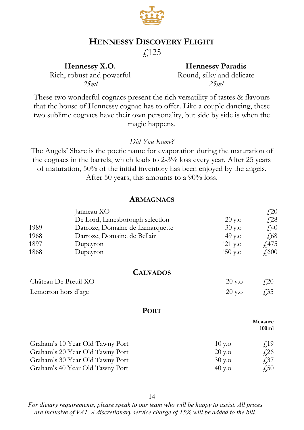

## **HENNESSY DISCOVERY FLIGHT**

£125

**Hennessy X.O.** Rich, robust and powerful *25ml*

**Hennessy Paradis** Round, silky and delicate *25ml*

These two wonderful cognacs present the rich versatility of tastes & flavours that the house of Hennessy cognac has to offer. Like a couple dancing, these two sublime cognacs have their own personality, but side by side is when the magic happens.

#### *Did You Know?*

The Angels' Share is the poetic name for evaporation during the maturation of the cognacs in the barrels, which leads to 2-3% loss every year. After 25 years of maturation, 50% of the initial inventory has been enjoyed by the angels. After 50 years, this amounts to a 90% loss.

### **ARMAGNACS**

|      | Janneau XO                      |          | £20                             |
|------|---------------------------------|----------|---------------------------------|
|      | De Lord, Lanesborough selection | $20y$ .o | £,28                            |
| 1989 | Darroze, Domaine de Lamarquette | $30y$ .o | £40                             |
| 1968 | Darroze, Domaine de Bellair     | 49 y.o   | £,68                            |
| 1897 | Dupeyron                        | 121 y.o  | $\sqrt{475}$                    |
| 1868 | Dupeyron                        | 150 y.o  | £,600                           |
|      | <b>CALVADOS</b>                 |          |                                 |
|      | Château De Breuil XO            | 20 y.o   | $\textcolor{red}{\downarrow}20$ |
|      | Lemorton hors d'age             | 20 y.o   | f35                             |
|      | <b>PORT</b>                     |          |                                 |
|      |                                 |          | Measure<br>100ml                |
|      | Graham's 10 Year Old Tawny Port | 10y.o    | f <sub>19</sub>                 |
|      | Graham's 20 Year Old Tawny Port | $20y$ .o | $\sqrt{26}$                     |
|      | Graham's 30 Year Old Tawny Port | 30y.o    | £,37                            |
|      | Graham's 40 Year Old Tawny Port | 40 y.o   | $\sqrt{.50}$                    |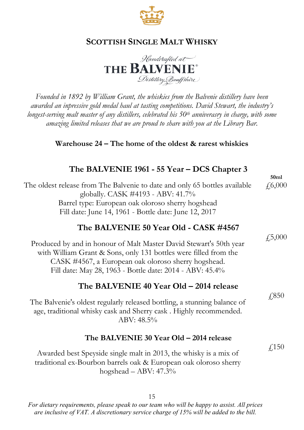



*Founded in 1892 by William Grant, the whiskies from the Balvenie distillery have been awarded an inpressive gold medal haul at tasting competitions. David Stewart, the industry's longest-serving malt master of any distillers, celebrated his 50th anniverasry in charge, with some amazing limited releases that we are proud to share with you at the Library Bar.*

## **Warehouse 24 – The home of the oldest & rarest whiskies**

## **The BALVENIE 1961 - 55 Year – DCS Chapter 3**

The oldest release from The Balvenie to date and only 65 bottles available globally. CASK #4193 - ABV: 41.7% Barrel type: European oak oloroso sherry hogshead Fill date: June 14, 1961 - Bottle date: June 12, 2017 £6,000

## **The BALVENIE 50 Year Old - CASK #4567**

Produced by and in honour of Malt Master David Stewart's 50th year with William Grant & Sons, only 131 bottles were filled from the CASK #4567, a European oak oloroso sherry hogshead. Fill date: May 28, 1963 - Bottle date: 2014 - ABV: 45.4%

## **The BALVENIE 40 Year Old – 2014 release**

The Balvenie's oldest regularly released bottling, a stunning balance of age, traditional whisky cask and Sherry cask . Highly recommended.  $ABV: 48.5\%$ 

### **The BALVENIE 30 Year Old – 2014 release**

Awarded best Speyside single malt in 2013, the whisky is a mix of traditional ex-Bourbon barrels oak & European oak oloroso sherry hogshead – ABV: 47.3%

15

*For dietary requirements, please speak to our team who will be happy to assist. All prices are inclusive of VAT. A discretionary service charge of 15% will be added to the bill.*

£5,000

**50ml**

£850

£150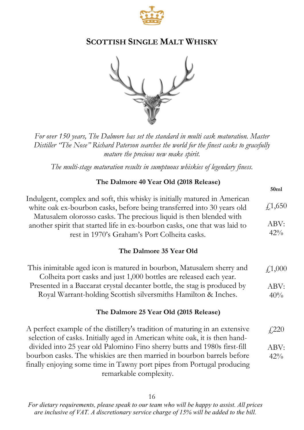



*For over 150 years, The Dalmore has set the standard in multi cask maturation. Master Distiller "The Nose" Richard Paterson searches the world for the finest casks to gracefully mature the precious new make spirit.*

*The multi-stage maturation results in sumptuous whiskies of legendary finess.*

#### **The Dalmore 40 Year Old (2018 Release)**

**50ml**

| Indulgent, complex and soft, this whisky is initially matured in American<br>white oak ex-bourbon casks, before being transferred into 30 years old<br>Matusalem olorosso casks. The precious liquid is then blended with<br>another spirit that started life in ex-bourbon casks, one that was laid to | $\sqrt{1,650}$<br>ABV: |
|---------------------------------------------------------------------------------------------------------------------------------------------------------------------------------------------------------------------------------------------------------------------------------------------------------|------------------------|
| rest in 1970's Graham's Port Colheita casks.                                                                                                                                                                                                                                                            | 42%                    |
| The Dalmore 35 Year Old                                                                                                                                                                                                                                                                                 |                        |
| This inimitable aged icon is matured in bourbon, Matusalem sherry and<br>Colheita port casks and just 1,000 bottles are released each year.                                                                                                                                                             | f,1,000                |
| Presented in a Baccarat crystal decanter bottle, the stag is produced by                                                                                                                                                                                                                                | ABV:                   |
| Royal Warrant-holding Scottish silversmiths Hamilton & Inches.                                                                                                                                                                                                                                          | 40%                    |
| The Dalmore 25 Year Old (2015 Release)                                                                                                                                                                                                                                                                  |                        |
| A perfect example of the distillery's tradition of maturing in an extensive<br>selection of casks. Initially aged in American white oak, it is then hand-                                                                                                                                               | $f{,}220$              |
|                                                                                                                                                                                                                                                                                                         |                        |

divided into 25 year old Palomino Fino sherry butts and 1980s first-fill bourbon casks. The whiskies are then married in bourbon barrels before finally enjoying some time in Tawny port pipes from Portugal producing remarkable complexity. ABV:  $42%$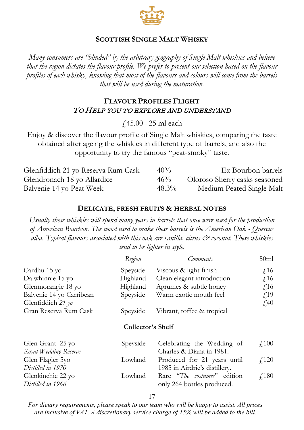

*Many consumers are "blinded" by the arbitrary geography of Single Malt whiskies and believe that the region dictates the flavour profile. We prefer to present our selection based on the flavour profiles of each whisky, knowing that most of the flavours and colours will come from the barrels that will be used during the maturation.*

### **FLAVOUR PROFILES FLIGHT** TO HELP YOU TO EXPLORE AND UNDERSTAND

£45.00 - 25 ml each

Enjoy & discover the flavour profile of Single Malt whiskies, comparing the taste obtained after ageing the whiskies in different type of barrels, and also the opportunity to try the famous "peat-smoky" taste.

| Glenfiddich 21 yo Reserva Rum Cask | $40\%$   | Ex Bourbon barrels            |
|------------------------------------|----------|-------------------------------|
| Glendronach 18 yo Allardice        | 46%      | Oloroso Sherry casks seasoned |
| Balvenie 14 yo Peat Week           | $48.3\%$ | Medium Peated Single Malt     |

#### **DELICATE, FRESH FRUITS & HERBAL NOTES**

*Usually these whiskies will spend many years in barrels that once were used for the production of American Bourbon. The wood used to make these barrels is the American Oak - Quercus alba. Typical flavours associated with this oak are vanilla, citrus & coconut. These whiskies tend to be lighter in style.*

|                                           | Region            | Comments                                                     | 50 <sub>ml</sub> |
|-------------------------------------------|-------------------|--------------------------------------------------------------|------------------|
| Cardhu 15 yo                              | Speyside          | Viscous & light finish                                       | $\sqrt{16}$      |
| Dalwhinnie 15 yo                          | Highland          | Clean elegant introduction                                   | $\sqrt{16}$      |
| Glenmorangie 18 yo                        | Highland          | Agrumes & subtle honey                                       | $\sqrt{16}$      |
| Balvenie 14 yo Carribean                  | Speyside          | Warm exotic mouth feel                                       | f <sub>19</sub>  |
| Glenfiddich 21 yo                         |                   |                                                              | $\sqrt{40}$      |
| Gran Reserva Rum Cask                     | Speyside          | Vibrant, toffee & tropical                                   |                  |
|                                           | Collector's Shelf |                                                              |                  |
| Glen Grant 25 yo<br>Royal Wedding Reserve | Speyside          | Celebrating the Wedding of<br>Charles & Diana in 1981.       | $\angle 100$     |
| Glen Flagler 5yo<br>Distilled in 1970     | Lowland           | Produced for 21 years until<br>1985 in Airdrie's distillery. | $\sqrt{120}$     |
| Glenkinchie 22 yo<br>Distilled in 1966    | Lowland           | Rare "The costumes" edition<br>only 264 bottles produced.    | $\sqrt{180}$     |

17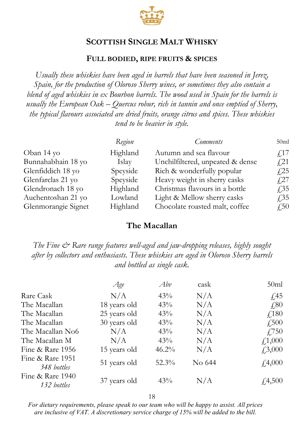

#### **FULL BODIED, RIPE FRUITS & SPICES**

*Usually these whiskies have been aged in barrels that have been seasoned in Jerez, Spain, for the production of Oloroso Sherry wines, or sometimes they also contain a blend of aged whiskies in ex Bourbon barrels. The wood used in Spain for the barrels is usually the European Oak – Quercus robur, rich in tannin and once emptied of Sherry, the typical flavours associated are dried fruits, orange citrus and spices. These whiskies tend to be heavier in style.*

|                     | Region   | <i>Comments</i>                  | 50ml         |
|---------------------|----------|----------------------------------|--------------|
| Oban 14 yo          | Highland | Autumn and sea flavour           | $\sqrt{17}$  |
| Bunnahabhain 18 yo  | Islay    | Unchilfiltered, unpeated & dense | f21          |
| Glenfiddich 18 yo   | Speyside | Rich & wonderfully popular       | $\sqrt{25}$  |
| Glenfarclas 21 yo   | Speyside | Heavy weight in sherry casks     | f27          |
| Glendronach 18 yo   | Highland | Christmas flavours in a bottle   | $\sqrt{35}$  |
| Auchentoshan 21 yo  | Lowland  | Light & Mellow sherry casks      | $\sqrt{.35}$ |
| Glenmorangie Signet | Highland | Chocolate roasted malt, coffee   | $\sqrt{.50}$ |

#### **The Macallan**

*The Fine*  $\breve{c}$  *Rare range features well-aged and jaw-dropping releases, highly sought after by collectors and enthusiasts. These whiskies are aged in Oloroso Sherry barrels and bottled as single cask.*

|                                 | Age          | Abv      | cask   | 50 <sub>ml</sub> |
|---------------------------------|--------------|----------|--------|------------------|
| Rare Cask                       | N/A          | 43%      | N/A    | $\sqrt{45}$      |
| The Macallan                    | 18 years old | 43%      | N/A    | $\sqrt{.80}$     |
| The Macallan                    | 25 years old | 43%      | N/A    | f180             |
| The Macallan                    | 30 years old | 43%      | N/A    | $\sqrt{.500}$    |
| The Macallan No6                | N/A          | 43%      | N/A    | $\sqrt{750}$     |
| The Macallan M                  | N/A          | 43%      | N/A    | f1,000           |
| Fine & Rare 1956                | 15 years old | $46.2\%$ | N/A    | $\sqrt{.3,000}$  |
| Fine & Rare 1951<br>348 bottles | 51 years old | $52.3\%$ | No 644 | f4,000           |
| Fine & Rare 1940<br>132 bottles | 37 years old | 43%      | N/A    | f4,500           |

18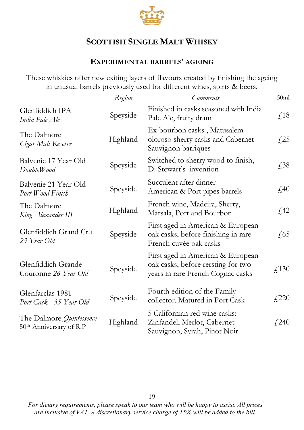

## **EXPERIMENTAL BARRELS' AGEING**

These whiskies offer new exiting layers of flavours created by finishing the ageing in unusual barrels previously used for different wines, spirts & beers.

|                                                     | Region   | <b>Comments</b>                                                                                              | 50ml                     |
|-----------------------------------------------------|----------|--------------------------------------------------------------------------------------------------------------|--------------------------|
| Glenfiddich IPA<br>India Pale Ale                   | Speyside | Finished in casks seasoned with India<br>Pale Ale, fruity dram                                               | $\text{\textsterling}18$ |
| The Dalmore<br>Cigar Malt Reserve                   | Highland | Ex-bourbon casks, Matusalem<br>oloroso sherry casks and Cabernet<br>Sauvignon barriques                      | f <sub>1</sub> 25        |
| Balvenie 17 Year Old<br>DoubleWood                  | Speyside | Switched to sherry wood to finish,<br>D. Stewart's invention                                                 | £38                      |
| Balvenie 21 Year Old<br>Port Wood Finish            | Speyside | Succulent after dinner<br>American & Port pipes barrels                                                      | $\sqrt{40}$              |
| The Dalmore<br>King Alexander III                   | Highland | French wine, Madeira, Sherry,<br>Marsala, Port and Bourbon                                                   | $\sqrt{42}$              |
| Glenfiddich Grand Cru<br>23 Year Old                | Speyside | First aged in American & European<br>oak casks, before finishing in rare<br>French cuvée oak casks           | $\sqrt{65}$              |
| Glenfiddich Grande<br>Couronne 26 Year Old          | Speyside | First aged in American & European<br>oak casks, before rersting for two<br>years in rare French Cognac casks | £,130                    |
| Glenfarclas 1981<br>Port Cask - 35 Year Old         | Speyside | Fourth edition of the Family<br>collector. Matured in Port Cask                                              | £220                     |
| The Dalmore Quintessence<br>50th Anniversary of R.P | Highland | 5 Californian red wine casks:<br>Zinfandel, Merlot, Cabernet<br>Sauvignon, Syrah, Pinot Noir                 | £240                     |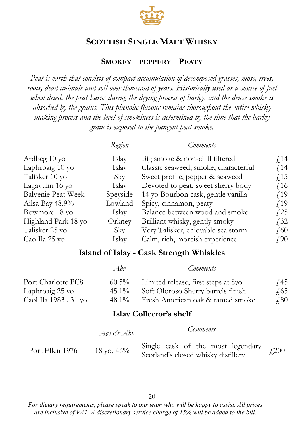

### **SMOKEY – PEPPERY – PEATY**

*Peat is earth that consists of compact accumulation of decomposed grasses, moss, trees, roots, dead animals and soil over thousand of years. Historically used as a source of fuel when dried, the peat burns during the drying process of barley, and the dense smoke is absorbed by the grains. This phenolic flavour remains thoroughout the entire whisky making process and the level of smokiness is determined by the time that the barley grain is exposed to the pungent peat smoke.*

|                     | Region   | Comments                             |                 |
|---------------------|----------|--------------------------------------|-----------------|
| Ardbeg 10 yo        | Islay    | Big smoke & non-chill filtered       | $\sqrt{14}$     |
| Laphroaig 10 yo     | Islay    | Classic seaweed, smoke, characterful | f <sub>14</sub> |
| Talisker 10 yo      | Sky      | Sweet profile, pepper & seaweed      | f <sub>15</sub> |
| Lagavulin 16 yo     | Islay    | Devoted to peat, sweet sherry body   | $f$ 16          |
| Balvenie Peat Week  | Speyside | 14 yo Bourbon cask, gentle vanilla   | f <sub>19</sub> |
| Ailsa Bay 48.9%     | Lowland  | Spicy, cinnamon, peaty               | f <sub>19</sub> |
| Bowmore 18 yo       | Islay    | Balance between wood and smoke       | f <sub>25</sub> |
| Highland Park 18 yo | Orkney   | Brilliant whisky, gently smoky       | f32             |
| Talisker 25 yo      | Sky      | Very Talisker, enjoyable sea storm   | $\sqrt{60}$     |
| Cao Ila 25 yo       | Islay    | Calm, rich, moreish experience       | $f_{\cdot}$ 90  |

## **Island of Islay - Cask Strength Whiskies**

|                       | Abv      | Comments                            |              |
|-----------------------|----------|-------------------------------------|--------------|
| Port Charlotte PC8    | $60.5\%$ | Limited release, first steps at 8yo | <i>T</i> 45  |
| Laphroaig 25 yo       | $45.1\%$ | Soft Oloroso Sherry barrels finish  | 4.65         |
| Caol Ila 1983 . 31 yo | 48.1%    | Fresh American oak & tamed smoke    | $\sqrt{.80}$ |

#### **Islay Collector's shelf**

|                 | Age & Abv     | Comments                                                                 |            |
|-----------------|---------------|--------------------------------------------------------------------------|------------|
| Port Ellen 1976 | 18 yo, $46\%$ | Single cask of the most legendary<br>Scotland's closed whisky distillery | $f_{.}200$ |

20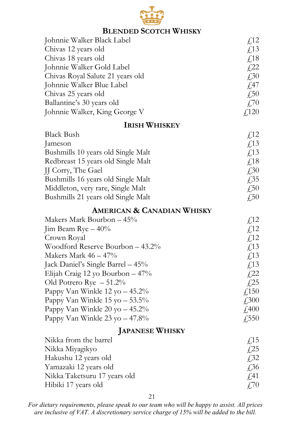

## **BLENDED SCOTCH WHISKY**

| Johnnie Walker Black Label       | f <sub>12</sub>        |
|----------------------------------|------------------------|
| Chivas 12 years old              | $\sqrt{13}$            |
| Chivas 18 years old              | <i>F</i> <sub>18</sub> |
| Johnnie Walker Gold Label        | f <sub>1</sub> 22      |
| Chivas Royal Salute 21 years old | $\sqrt{30}$            |
| Johnnie Walker Blue Label        | $\sqrt{47}$            |
| Chivas 25 years old              | $\sqrt{50}$            |
| Ballantine's 30 years old        | $\angle 70$            |
| Johnnie Walker, King George V    | $\angle 120$           |
|                                  |                        |

## **IRISH WHISKEY**

| Black Bush                         | f12                    |
|------------------------------------|------------------------|
| <b>Jameson</b>                     | $\sqrt{13}$            |
| Bushmills 10 years old Single Malt | <i>F</i> <sub>13</sub> |
| Redbreast 15 years old Single Malt | $\sqrt{18}$            |
| JJ Corry, The Gael                 | $\angle 30$            |
| Bushmills 16 years old Single Malt | f35                    |
| Middleton, very rare, Single Malt  | $\sqrt{.50}$           |
| Bushmills 21 years old Single Malt | £50                    |

## **AMERICAN & CANADIAN WHISKY**

| f <sub>12</sub>   |
|-------------------|
| f <sub>12</sub>   |
| f <sub>12</sub>   |
| f13               |
| f <sub>13</sub>   |
| f13               |
| $f$ <sub>22</sub> |
| $f$ ,25           |
| $\sqrt{150}$      |
| $\sqrt{.300}$     |
| $\sqrt{400}$      |
| $\sqrt{550}$      |
|                   |

## **JAPANESE WHISKY**

| Nikka from the barrel        | $\sqrt{15}$ |
|------------------------------|-------------|
| Nikka Miyagikyo              | f25         |
| Hakushu 12 years old         | f32         |
| Yamazaki 12 years old        | <b>£36</b>  |
| Nikka Taketsuru 17 years old | $\sqrt{41}$ |
| Hibiki 17 years old          | 470         |

21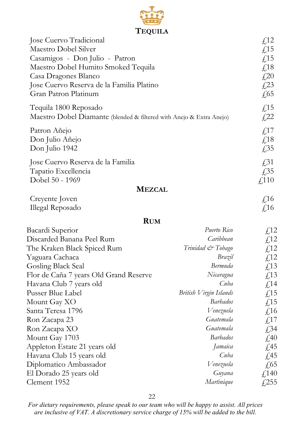

| Jose Cuervo Tradicional<br>Maestro Dobel Silver<br>Casamigos - Don Julio - Patron<br>Maestro Dobel Humito Smoked Tequila<br>Casa Dragones Blanco<br>Jose Cuervo Reserva de la Familia Platino<br>Gran Patron Platinum |                        | f <sub>12</sub><br>$\textstyle\int$ 15<br>$\sqrt{15}$<br>£18<br>$\textcolor{red}{\downarrow}20$<br>£23<br>$\sqrt{65}$ |
|-----------------------------------------------------------------------------------------------------------------------------------------------------------------------------------------------------------------------|------------------------|-----------------------------------------------------------------------------------------------------------------------|
| Tequila 1800 Reposado<br>Maestro Dobel Diamante (blended & filtered with Anejo & Extra Anejo)                                                                                                                         |                        | £15<br>£22                                                                                                            |
| Patron Añejo<br>Don Julio Añejo<br>Don Julio 1942                                                                                                                                                                     |                        | £17<br>$\textsterling}18$<br>£35                                                                                      |
| Jose Cuervo Reserva de la Familia<br>Tapatio Excellencia<br>Dobel 50 - 1969                                                                                                                                           |                        | $\sqrt{.}31$<br>£35<br>$\sqrt{110}$                                                                                   |
| <b>MEZCAL</b>                                                                                                                                                                                                         |                        |                                                                                                                       |
| Creyente Joven<br>Illegal Reposado                                                                                                                                                                                    |                        | £16<br>$\sqrt{16}$                                                                                                    |
| <b>RUM</b>                                                                                                                                                                                                            |                        |                                                                                                                       |
| Bacardi Superior                                                                                                                                                                                                      | Puerto Rico            | f <sub>12</sub>                                                                                                       |
| Discarded Banana Peel Rum                                                                                                                                                                                             | Caribbean              | f <sub>12</sub>                                                                                                       |
| The Kraken Black Spiced Rum                                                                                                                                                                                           | Trinidad & Tobago      | £12                                                                                                                   |
| Yaguara Cachaca                                                                                                                                                                                                       | Brazil                 | £12                                                                                                                   |
| Gosling Black Seal                                                                                                                                                                                                    | Bermuda                | £13                                                                                                                   |
| Flor de Caña 7 years Old Grand Reserve                                                                                                                                                                                | Nicaragua              | £13                                                                                                                   |
| Havana Club 7 years old                                                                                                                                                                                               | Cuba                   | £14                                                                                                                   |
| Pusser Blue Label                                                                                                                                                                                                     | British Virgin Islands | £15                                                                                                                   |
| Mount Gay XO                                                                                                                                                                                                          | <b>Barbados</b>        | £15                                                                                                                   |
| Santa Teresa 1796                                                                                                                                                                                                     | Venezuela              | $\textsterling 16$                                                                                                    |
| Ron Zacapa 23                                                                                                                                                                                                         | Guatemala              | $f_{\nu}$ 17                                                                                                          |
| Ron Zacapa XO                                                                                                                                                                                                         | Guatemala              | £34                                                                                                                   |
| Mount Gay 1703                                                                                                                                                                                                        | <i>Barbados</i>        | £40                                                                                                                   |
| Appleton Estate 21 years old                                                                                                                                                                                          | Jamaica                | £45                                                                                                                   |
| Havana Club 15 years old                                                                                                                                                                                              | Cuba                   | £45                                                                                                                   |
| Diplomatico Ambassador                                                                                                                                                                                                | Venezuela              | £65                                                                                                                   |
| El Dorado 25 years old                                                                                                                                                                                                | Guyana                 | £140                                                                                                                  |
| Clement 1952                                                                                                                                                                                                          | Martinique             | $f{,}255$                                                                                                             |

22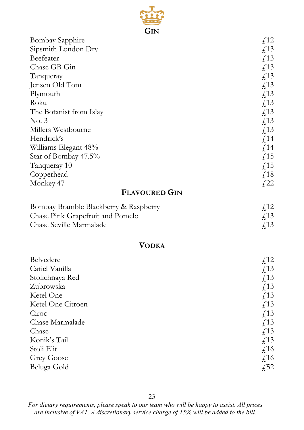

| <b>Bombay Sapphire</b>                | £12                    |
|---------------------------------------|------------------------|
| Sipsmith London Dry                   | £13                    |
| Beefeater                             | £13                    |
| Chase GB Gin                          | £13                    |
| Tanqueray                             | £13                    |
| Jensen Old Tom                        | £13                    |
| Plymouth                              | $\textsterling$ 13     |
| Roku                                  | £13                    |
| The Botanist from Islay               | $\textsterling$ 13     |
| No. 3                                 | $\textsterling$ 13     |
| Millers Westbourne                    | £13                    |
| Hendrick's                            | f <sub>14</sub>        |
| Williams Elegant 48%                  | $\textsterling$ 14     |
| Star of Bombay 47.5%                  | £15                    |
| Tanqueray 10                          | £15                    |
| Copperhead                            | $\textstyle \pounds18$ |
| Monkey 47                             | £22                    |
| <b>FLAVOURED GIN</b>                  |                        |
| Bombay Bramble Blackberry & Raspberry | £12                    |
| Chase Pink Grapefruit and Pomelo      | $\textsterling$ 13     |
| Chase Seville Marmalade               | f <sub>13</sub>        |
|                                       |                        |
| <b>VODKA</b>                          |                        |
| Belvedere                             | £12                    |
| Cariel Vanilla                        | £13                    |
| Stolichnaya Red                       | £13                    |
| Zubrowska                             | £13                    |
| Ketel One                             | £13                    |
| Ketel One Citroen                     | £13                    |
| Ciroc                                 | £13                    |
| Chase Marmalade                       | £13                    |
| Chase                                 | £13                    |
| Konik's Tail                          | £13                    |
| Stoli Elit                            | £16                    |
| Grey Goose                            | £16                    |
| Beluga Gold                           | £52                    |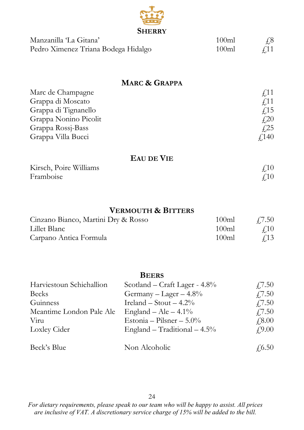

| Manzanilla 'La Gitana'              | 100 <sub>m</sub> | $\sqrt{6}$  |
|-------------------------------------|------------------|-------------|
| Pedro Ximenez Triana Bodega Hidalgo | 100ml            | $\angle$ 11 |

## **MARC & GRAPPA**

| Marc de Champagne     | f 11         |
|-----------------------|--------------|
| Grappa di Moscato     | $\sqrt{11}$  |
| Grappa di Tignanello  | f15          |
| Grappa Nonino Picolit | £20          |
| Grappa Rossj-Bass     | f 25         |
| Grappa Villa Bucci    | $\sqrt{140}$ |

## **EAU DE VIE**

| Kirsch, Poire Williams | ₽10 |
|------------------------|-----|
| Framboise              | ₽10 |

## **VERMOUTH & BITTERS**

| Cinzano Bianco, Martini Dry & Rosso | 100ml            | £7.50       |
|-------------------------------------|------------------|-------------|
| Lillet Blanc                        | 100 <sub>m</sub> | $\angle 10$ |
| Carpano Antica Formula              | 100ml            | $\sqrt{13}$ |

## **BEERS**

| Harviestoun Schiehallion | Scotland – Craft Lager - 4.8%  | 47.50          |
|--------------------------|--------------------------------|----------------|
| <b>Becks</b>             | Germany – Lager – $4.8\%$      | $\sqrt{7.50}$  |
| Guinness                 | Ireland – Stout – $4.2\%$      | $\sqrt{7.50}$  |
| Meantime London Pale Ale | England – Ale – $4.1\%$        | 47.50          |
| Viru                     | Estonia - Pilsner - $5.0\%$    | $\sqrt{.8.00}$ |
| Loxley Cider             | England - Traditional $-4.5\%$ | f9.00          |
|                          |                                |                |
| Beck's Blue              | Non Alcoholic                  | $\sqrt{6.50}$  |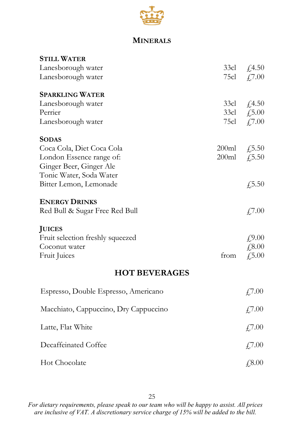

## **MINERALS**

| <b>STILL WATER</b>                    |       |             |
|---------------------------------------|-------|-------------|
| Lanesborough water                    | 33cl  | £,4.50      |
| Lanesborough water                    | 75cl  | £7.00       |
| <b>SPARKLING WATER</b>                |       |             |
| Lanesborough water                    | 33cl  | £4.50       |
| Perrier                               | 33cl  | £5.00       |
| Lanesborough water                    | 75cl  | £7.00       |
| <b>SODAS</b>                          |       |             |
| Coca Cola, Diet Coca Cola             | 200ml | £,5.50      |
| London Essence range of:              | 200ml | £,5.50      |
| Ginger Beer, Ginger Ale               |       |             |
| Tonic Water, Soda Water               |       |             |
| Bitter Lemon, Lemonade                |       | £,5.50      |
| <b>ENERGY DRINKS</b>                  |       |             |
| Red Bull & Sugar Free Red Bull        |       | £,7.00      |
| <b>JUICES</b>                         |       |             |
| Fruit selection freshly squeezed      |       | £,9.00      |
| Coconut water                         |       | £,8.00      |
| Fruit Juices                          | from  | $f_{1}5.00$ |
| <b>HOT BEVERAGES</b>                  |       |             |
| Espresso, Double Espresso, Americano  |       | £7.00       |
| Macchiato, Cappuccino, Dry Cappuccino |       | £7.00       |
| Latte, Flat White                     |       | £7.00       |
| Decaffeinated Coffee                  |       | £7.00       |
| Hot Chocolate                         |       | £8.00       |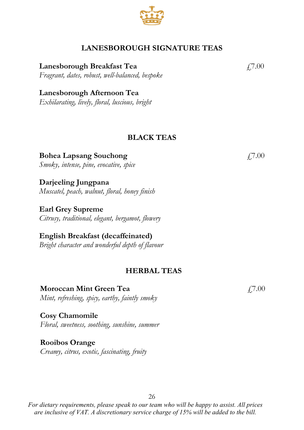## **LANESBOROUGH SIGNATURE TEAS**

**Lanesborough Breakfast Tea**  $\qquad$   $\qquad$   $\qquad$   $\qquad$   $\qquad$   $\qquad$   $\qquad$   $\qquad$   $\qquad$   $\qquad$   $\qquad$   $\qquad$   $\qquad$   $\qquad$   $\qquad$   $\qquad$   $\qquad$   $\qquad$   $\qquad$   $\qquad$   $\qquad$   $\qquad$   $\qquad$   $\qquad$   $\qquad$   $\qquad$   $\qquad$   $\qquad$   $\qquad$   $\qquad$   $\qquad$   $\qquad$  *Fragrant, dates, robust, well-balanced, bespoke*

**Lanesborough Afternoon Tea** *Exhilarating, lively, floral, luscious, bright*

### **BLACK TEAS**

**Bohea Lapsang Souchong** *Smoky, intense, pine, evocative, spice*

**Darjeeling Jungpana** *Muscatel, peach, walnut, floral, honey finish*

**Earl Grey Supreme** *Citrusy, traditional, elegant, bergamot, flowery*

**English Breakfast (decaffeinated)** *Bright character and wonderful depth of flavour*

#### **HERBAL TEAS**

**Moroccan Mint Green Tea** *Mint, refreshing, spicy, earthy, faintly smoky*

**Cosy Chamomile** *Floral, sweetness, soothing, sunshine, summer*

**Rooibos Orange** *Creamy, citrus, exotic, fascinating, fruity*

*For dietary requirements, please speak to our team who will be happy to assist. All prices are inclusive of VAT. A discretionary service charge of 15% will be added to the bill.*

26

£7.00



 $£7.00$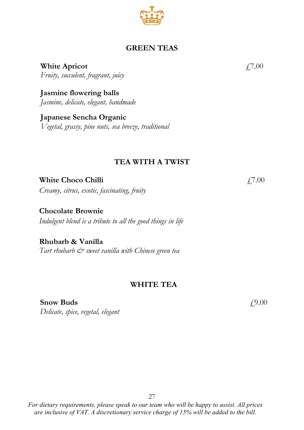## **GREEN TEAS**

**White Apricot** *Fruity, succulent, fragrant, juicy*

**Jasmine flowering balls** *Jasmine, delicate, elegant, handmade*

**Japanese Sencha Organic** *Vegetal, grassy, pine nuts, sea breeze, traditional*

### **TEA WITH A TWIST**

**White Choco Chilli** 

*Creamy, citrus, exotic, fascinating, fruity*

**Chocolate Brownie** *Indulgent blend is a tribute to all the good things in life*

**Rhubarb & Vanilla**  Tart rhubarb  $\dot{\mathcal{C}}^>$  sweet vanilla with Chinese green tea

#### **WHITE TEA**

**Snow Buds** *Delicate, spice, vegetal, elegant* 

*For dietary requirements, please speak to our team who will be happy to assist. All prices are inclusive of VAT. A discretionary service charge of 15% will be added to the bill.*

27

£7.00

£9.00



£7.00